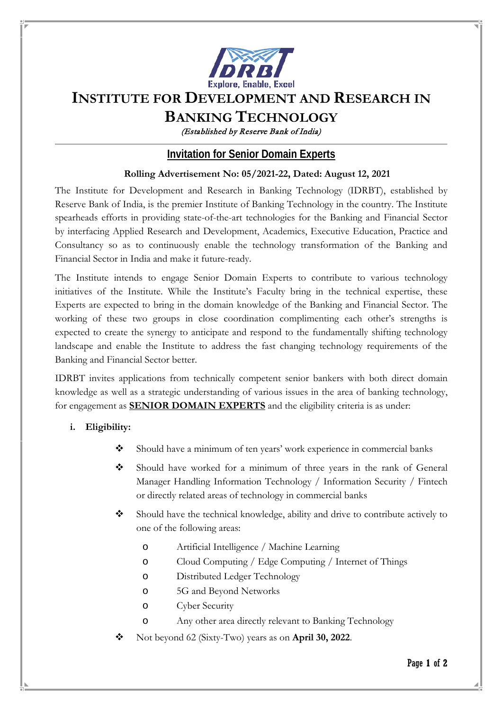

# **INSTITUTE FOR DEVELOPMENT AND RESEARCH IN**

# **BANKING TECHNOLOGY**

(Established by Reserve Bank of India)

## **Invitation for Senior Domain Experts**

### **Rolling Advertisement No: 05/2021-22, Dated: August 12, 2021**

The Institute for Development and Research in Banking Technology (IDRBT), established by Reserve Bank of India, is the premier Institute of Banking Technology in the country. The Institute spearheads efforts in providing state-of-the-art technologies for the Banking and Financial Sector by interfacing Applied Research and Development, Academics, Executive Education, Practice and Consultancy so as to continuously enable the technology transformation of the Banking and Financial Sector in India and make it future-ready.

The Institute intends to engage Senior Domain Experts to contribute to various technology initiatives of the Institute. While the Institute's Faculty bring in the technical expertise, these Experts are expected to bring in the domain knowledge of the Banking and Financial Sector. The working of these two groups in close coordination complimenting each other's strengths is expected to create the synergy to anticipate and respond to the fundamentally shifting technology landscape and enable the Institute to address the fast changing technology requirements of the Banking and Financial Sector better.

IDRBT invites applications from technically competent senior bankers with both direct domain knowledge as well as a strategic understanding of various issues in the area of banking technology, for engagement as **SENIOR DOMAIN EXPERTS** and the eligibility criteria is as under:

### **i. Eligibility:**

- Should have a minimum of ten years' work experience in commercial banks
- Should have worked for a minimum of three years in the rank of General Manager Handling Information Technology / Information Security / Fintech or directly related areas of technology in commercial banks
- Should have the technical knowledge, ability and drive to contribute actively to one of the following areas:
	- o Artificial Intelligence / Machine Learning
	- o Cloud Computing / Edge Computing / Internet of Things
	- o Distributed Ledger Technology
	- o 5G and Beyond Networks
	- o Cyber Security
	- o Any other area directly relevant to Banking Technology
- Not beyond 62 (Sixty-Two) years as on **April 30, 2022**.